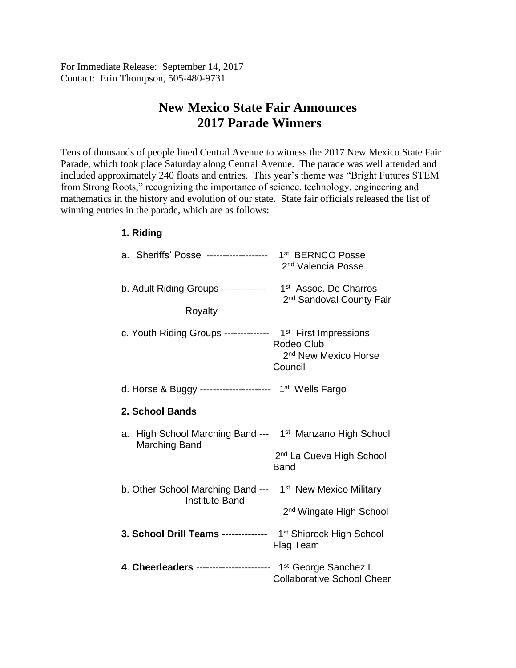For Immediate Release: September 14, 2017 Contact: Erin Thompson, 505-480-9731

## **New Mexico State Fair Announces 2017 Parade Winners**

Tens of thousands of people lined Central Avenue to witness the 2017 New Mexico State Fair Parade, which took place Saturday along Central Avenue. The parade was well attended and included approximately 240 floats and entries. This year's theme was "Bright Futures STEM from Strong Roots," recognizing the importance of science, technology, engineering and mathematics in the history and evolution of our state. State fair officials released the list of winning entries in the parade, which are as follows:

## **1. Riding**

| a. Sheriffs' Posse ------------------- 1st BERNCO Posse                                        | 2 <sup>nd</sup> Valencia Posse                            |  |
|------------------------------------------------------------------------------------------------|-----------------------------------------------------------|--|
| b. Adult Riding Groups -------------- 1 <sup>st</sup> Assoc. De Charros                        |                                                           |  |
| Royalty                                                                                        | 2 <sup>nd</sup> Sandoval County Fair                      |  |
| c. Youth Riding Groups -------------- 1 <sup>st</sup> First Impressions                        | Rodeo Club<br>2 <sup>nd</sup> New Mexico Horse<br>Council |  |
| d. Horse & Buggy ---------------------- 1 <sup>st</sup> Wells Fargo                            |                                                           |  |
| 2. School Bands                                                                                |                                                           |  |
| High School Marching Band --- 1 <sup>st</sup> Manzano High School<br>a.<br>Marching Band       |                                                           |  |
|                                                                                                | 2 <sup>nd</sup> La Cueva High School<br><b>Band</b>       |  |
| b. Other School Marching Band --- 1 <sup>st</sup> New Mexico Military<br><b>Institute Band</b> |                                                           |  |
|                                                                                                | 2 <sup>nd</sup> Wingate High School                       |  |
| 3. School Drill Teams ------------- 1st Shiprock High School                                   | Flag Team                                                 |  |
| 4. Cheerleaders ---------------------- 1 <sup>st</sup> George Sanchez I                        | <b>Collaborative School Cheer</b>                         |  |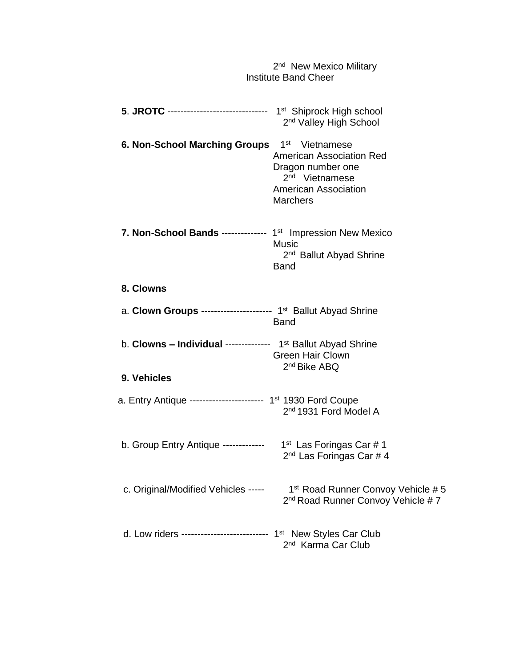|                                                                              | 2 <sup>nd</sup> New Mexico Military<br><b>Institute Band Cheer</b>                                                                   |
|------------------------------------------------------------------------------|--------------------------------------------------------------------------------------------------------------------------------------|
| 5. JROTC ------------------------------- 1st Shiprock High school            | 2 <sup>nd</sup> Valley High School                                                                                                   |
| 6. Non-School Marching Groups 1 <sup>st</sup> Vietnamese                     | <b>American Association Red</b><br>Dragon number one<br>2 <sup>nd</sup> Vietnamese<br><b>American Association</b><br><b>Marchers</b> |
| 7. Non-School Bands -------------- 1 <sup>st</sup> Impression New Mexico     | <b>Music</b><br>2 <sup>nd</sup> Ballut Abyad Shrine<br><b>Band</b>                                                                   |
| 8. Clowns                                                                    |                                                                                                                                      |
| a. Clown Groups ---------------------- 1 <sup>st</sup> Ballut Abyad Shrine   | <b>Band</b>                                                                                                                          |
| b. Clowns - Individual ------------- 1 <sup>st</sup> Ballut Abyad Shrine     | <b>Green Hair Clown</b>                                                                                                              |
| 9. Vehicles                                                                  | 2 <sup>nd</sup> Bike ABQ                                                                                                             |
| a. Entry Antique ---------------------- 1 <sup>st</sup> 1930 Ford Coupe      | 2 <sup>nd</sup> 1931 Ford Model A                                                                                                    |
| b. Group Entry Antique -------------                                         | 1 <sup>st</sup> Las Foringas Car #1<br>2 <sup>nd</sup> Las Foringas Car # 4                                                          |
| c. Original/Modified Vehicles -----                                          | 1 <sup>st</sup> Road Runner Convoy Vehicle # 5<br>2 <sup>nd</sup> Road Runner Convoy Vehicle #7                                      |
| d. Low riders -------------------------- 1 <sup>st</sup> New Styles Car Club | 2 <sup>nd</sup> Karma Car Club                                                                                                       |